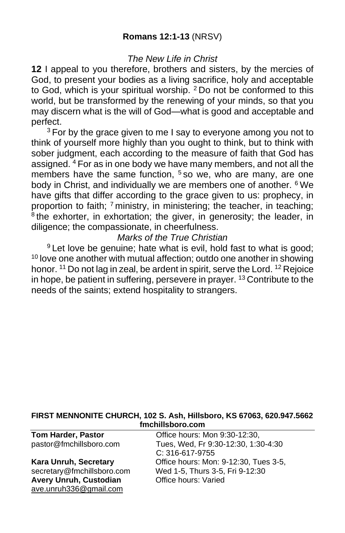# **Romans 12:1-13** (NRSV)

### *The New Life in Christ*

**12** I appeal to you therefore, brothers and sisters, by the mercies of God, to present your bodies as a living sacrifice, holy and acceptable to God, which is your spiritual worship. <sup>2</sup> Do not be conformed to this world, but be transformed by the renewing of your minds, so that you may discern what is the will of God—what is good and acceptable and perfect.

<sup>3</sup> For by the grace given to me I say to everyone among you not to think of yourself more highly than you ought to think, but to think with sober judgment, each according to the measure of faith that God has assigned. <sup>4</sup> For as in one body we have many members, and not all the members have the same function,  $5$  so we, who are many, are one body in Christ, and individually we are members one of another. <sup>6</sup> We have gifts that differ according to the grace given to us: prophecy, in proportion to faith; 7 ministry, in ministering; the teacher, in teaching; <sup>8</sup>the exhorter, in exhortation; the giver, in generosity; the leader, in diligence; the compassionate, in cheerfulness.

## *Marks of the True Christian*

<sup>9</sup> Let love be genuine; hate what is evil, hold fast to what is good; <sup>10</sup> love one another with mutual affection; outdo one another in showing honor. <sup>11</sup> Do not lag in zeal, be ardent in spirit, serve the Lord. <sup>12</sup> Rejoice in hope, be patient in suffering, persevere in prayer. <sup>13</sup> Contribute to the needs of the saints; extend hospitality to strangers.

#### **FIRST MENNONITE CHURCH, 102 S. Ash, Hillsboro, KS 67063, 620.947.5662 fmchillsboro.com**

Avery Unruh, Custodian **Office hours: Varied** [ave.unruh336@gmail.com](mailto:ave.unruh336@gmail.com)

**Tom Harder, Pastor Conserved Conserved Conserved Proportional Proportional Proportional Proportional Proportional Proportional Proportional Proportional Proportional Proportional Proportional Proportional Proportional P** pastor@fmchillsboro.com Tues, Wed, Fr 9:30-12:30, 1:30-4:30 C: 316-617-9755 **Kara Unruh, Secretary Charager Conservance Conservance Conservance Conservance Secretary** Office hours: Mon: 9-12:30, Tues 3-5, secretary@fmchillsboro.com Wed 1-5, Thurs 3-5, Fri 9-12:30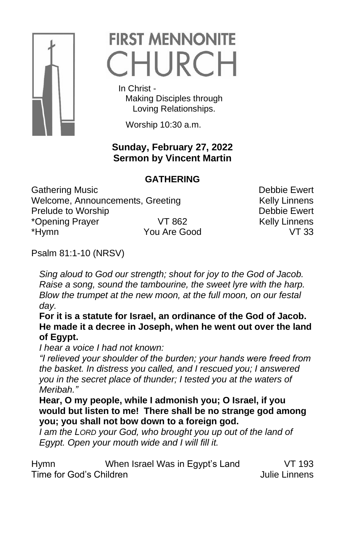

# **FIRST MENNONITE** CHURCH

 In Christ - Making Disciples through Loving Relationships.

Worship 10:30 a.m.

# **Sunday, February 27, 2022 Sermon by Vincent Martin**

# **GATHERING**

Gathering Music **Debbie Ewert** Welcome, Announcements, Greeting Kelly Linnens Prelude to Worship **Debbie Ewert** \*Opening Prayer VT 862 Kelly Linnens \*Hymn You Are Good VT 33

Psalm 81:1-10 (NRSV)

*Sing aloud to God our strength; shout for joy to the God of Jacob. Raise a song, sound the tambourine, the sweet lyre with the harp. Blow the trumpet at the new moon, at the full moon, on our festal day.* 

**For it is a statute for Israel, an ordinance of the God of Jacob. He made it a decree in Joseph, when he went out over the land of Egypt.** 

*I hear a voice I had not known:* 

*"I relieved your shoulder of the burden; your hands were freed from the basket. In distress you called, and I rescued you; I answered you in the secret place of thunder; I tested you at the waters of Meribah."*

**Hear, O my people, while I admonish you; O Israel, if you would but listen to me! There shall be no strange god among you; you shall not bow down to a foreign god.**

*I am the LORD your God, who brought you up out of the land of Egypt. Open your mouth wide and I will fill it.* 

| Hymn                    | When Israel Was in Egypt's Land | VT 193        |
|-------------------------|---------------------------------|---------------|
| Time for God's Children |                                 | Julie Linnens |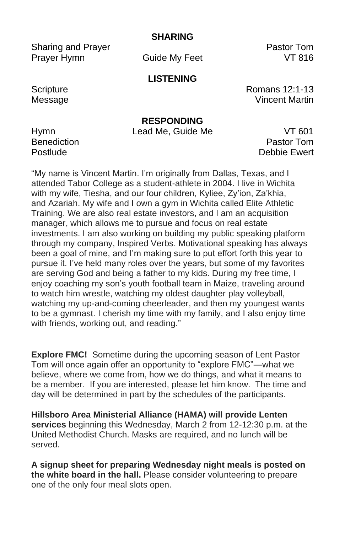**SHARING**

Sharing and Prayer **Pastor Tom** Prayer Hymn Guide My Feet VT 816

## **LISTENING**

Scripture **Romans 12:1-13** Message **Vincent Martin** 

**RESPONDING**

Hymn Lead Me, Guide Me VT 601

Benediction **Pastor Tommunics Pastor Tommunics Pastor Tommunics** Postlude **Debbie Ewert** 

"My name is Vincent Martin. I'm originally from Dallas, Texas, and I attended Tabor College as a student-athlete in 2004. I live in Wichita with my wife, Tiesha, and our four children, Kyliee, Zy'ion, Za'khia, and Azariah. My wife and I own a gym in Wichita called Elite Athletic Training. We are also real estate investors, and I am an acquisition manager, which allows me to pursue and focus on real estate investments. I am also working on building my public speaking platform through my company, Inspired Verbs. Motivational speaking has always been a goal of mine, and I'm making sure to put effort forth this year to pursue it. I've held many roles over the years, but some of my favorites are serving God and being a father to my kids. During my free time, I enjoy coaching my son's youth football team in Maize, traveling around to watch him wrestle, watching my oldest daughter play volleyball, watching my up-and-coming cheerleader, and then my youngest wants to be a gymnast. I cherish my time with my family, and I also enjoy time with friends, working out, and reading."

**Explore FMC!** Sometime during the upcoming season of Lent Pastor Tom will once again offer an opportunity to "explore FMC"—what we believe, where we come from, how we do things, and what it means to be a member. If you are interested, please let him know. The time and day will be determined in part by the schedules of the participants.

**Hillsboro Area Ministerial Alliance (HAMA) will provide Lenten services** beginning this Wednesday, March 2 from 12-12:30 p.m. at the United Methodist Church. Masks are required, and no lunch will be served.

**A signup sheet for preparing Wednesday night meals is posted on the white board in the hall.** Please consider volunteering to prepare one of the only four meal slots open.